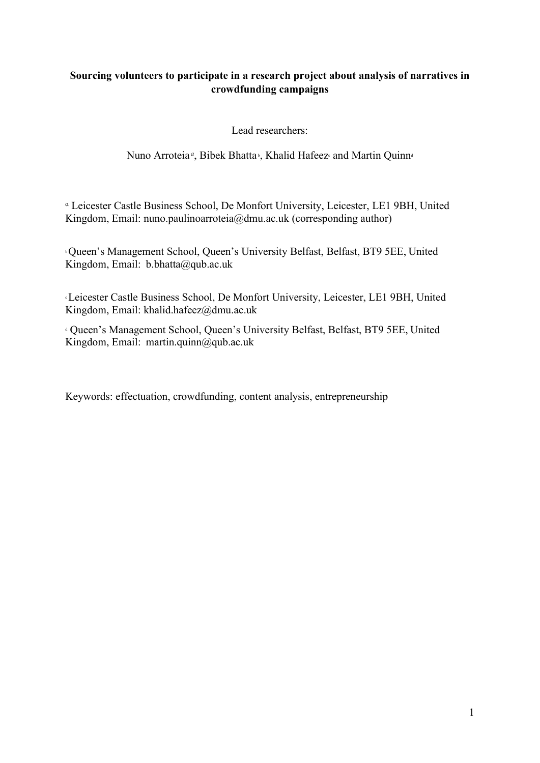# Sourcing volunteers to participate in a research project about analysis of narratives in crowdfunding campaigns

Lead researchers:

Nuno Arroteia<sup>a</sup>, Bibek Bhatta<sup>*,*</sup>, Khalid Hafeez and Martin Quinn<sup>d</sup>

ᵅ Leicester Castle Business School, De Monfort University, Leicester, LE1 9BH, United Kingdom, Email: nuno.paulinoarroteia@dmu.ac.uk (corresponding author)

<sup>b</sup>Queen's Management School, Queen's University Belfast, Belfast, BT9 5EE, United Kingdom, Email: b.bhatta@qub.ac.uk

<sup>c</sup>Leicester Castle Business School, De Monfort University, Leicester, LE1 9BH, United Kingdom, Email: khalid.hafeez@dmu.ac.uk

<sup>d</sup> Queen's Management School, Queen's University Belfast, Belfast, BT9 5EE, United Kingdom, Email: martin.quinn@qub.ac.uk

Keywords: effectuation, crowdfunding, content analysis, entrepreneurship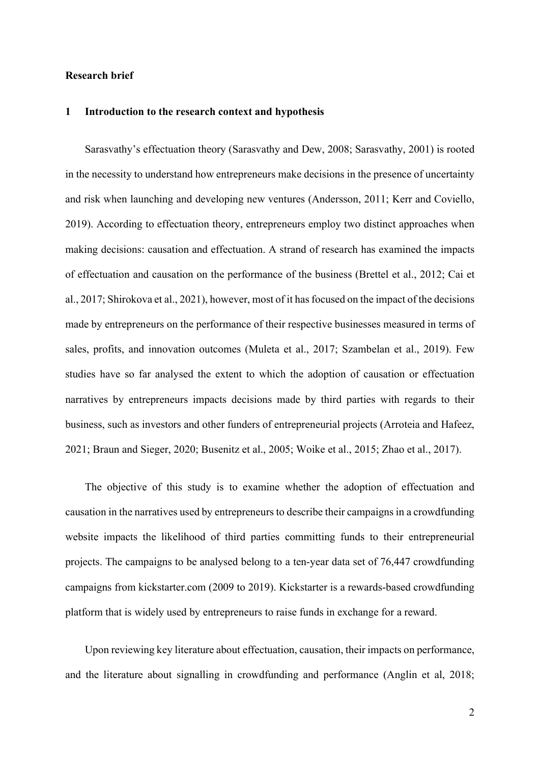### Research brief

### 1 Introduction to the research context and hypothesis

Sarasvathy's effectuation theory (Sarasvathy and Dew, 2008; Sarasvathy, 2001) is rooted in the necessity to understand how entrepreneurs make decisions in the presence of uncertainty and risk when launching and developing new ventures (Andersson, 2011; Kerr and Coviello, 2019). According to effectuation theory, entrepreneurs employ two distinct approaches when making decisions: causation and effectuation. A strand of research has examined the impacts of effectuation and causation on the performance of the business (Brettel et al., 2012; Cai et al., 2017; Shirokova et al., 2021), however, most of it has focused on the impact of the decisions made by entrepreneurs on the performance of their respective businesses measured in terms of sales, profits, and innovation outcomes (Muleta et al., 2017; Szambelan et al., 2019). Few studies have so far analysed the extent to which the adoption of causation or effectuation narratives by entrepreneurs impacts decisions made by third parties with regards to their business, such as investors and other funders of entrepreneurial projects (Arroteia and Hafeez, 2021; Braun and Sieger, 2020; Busenitz et al., 2005; Woike et al., 2015; Zhao et al., 2017).

The objective of this study is to examine whether the adoption of effectuation and causation in the narratives used by entrepreneurs to describe their campaigns in a crowdfunding website impacts the likelihood of third parties committing funds to their entrepreneurial projects. The campaigns to be analysed belong to a ten-year data set of 76,447 crowdfunding campaigns from kickstarter.com (2009 to 2019). Kickstarter is a rewards-based crowdfunding platform that is widely used by entrepreneurs to raise funds in exchange for a reward.

Upon reviewing key literature about effectuation, causation, their impacts on performance, and the literature about signalling in crowdfunding and performance (Anglin et al, 2018;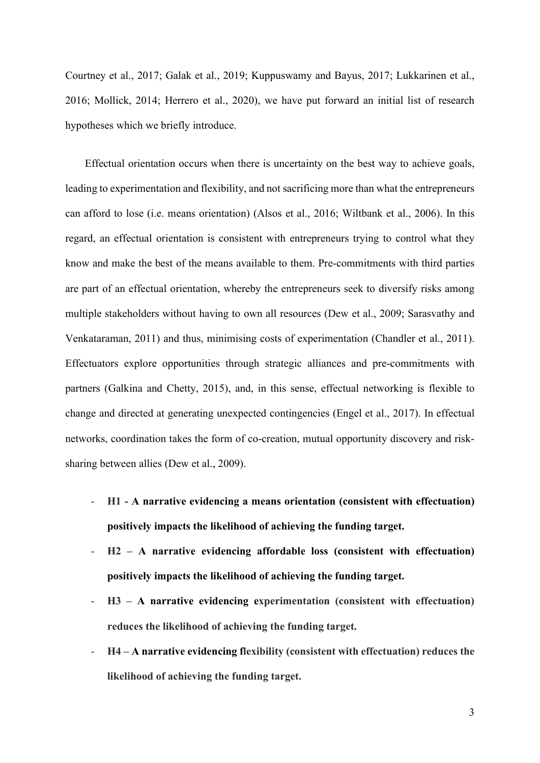Courtney et al., 2017; Galak et al., 2019; Kuppuswamy and Bayus, 2017; Lukkarinen et al., 2016; Mollick, 2014; Herrero et al., 2020), we have put forward an initial list of research hypotheses which we briefly introduce.

Effectual orientation occurs when there is uncertainty on the best way to achieve goals, leading to experimentation and flexibility, and not sacrificing more than what the entrepreneurs can afford to lose (i.e. means orientation) (Alsos et al., 2016; Wiltbank et al., 2006). In this regard, an effectual orientation is consistent with entrepreneurs trying to control what they know and make the best of the means available to them. Pre-commitments with third parties are part of an effectual orientation, whereby the entrepreneurs seek to diversify risks among multiple stakeholders without having to own all resources (Dew et al., 2009; Sarasvathy and Venkataraman, 2011) and thus, minimising costs of experimentation (Chandler et al., 2011). Effectuators explore opportunities through strategic alliances and pre-commitments with partners (Galkina and Chetty, 2015), and, in this sense, effectual networking is flexible to change and directed at generating unexpected contingencies (Engel et al., 2017). In effectual networks, coordination takes the form of co-creation, mutual opportunity discovery and risksharing between allies (Dew et al., 2009).

- H1 A narrative evidencing a means orientation (consistent with effectuation) positively impacts the likelihood of achieving the funding target.
- H2 A narrative evidencing affordable loss (consistent with effectuation) positively impacts the likelihood of achieving the funding target.
- H3 A narrative evidencing experimentation (consistent with effectuation) reduces the likelihood of achieving the funding target.
- H4 A narrative evidencing flexibility (consistent with effectuation) reduces the likelihood of achieving the funding target.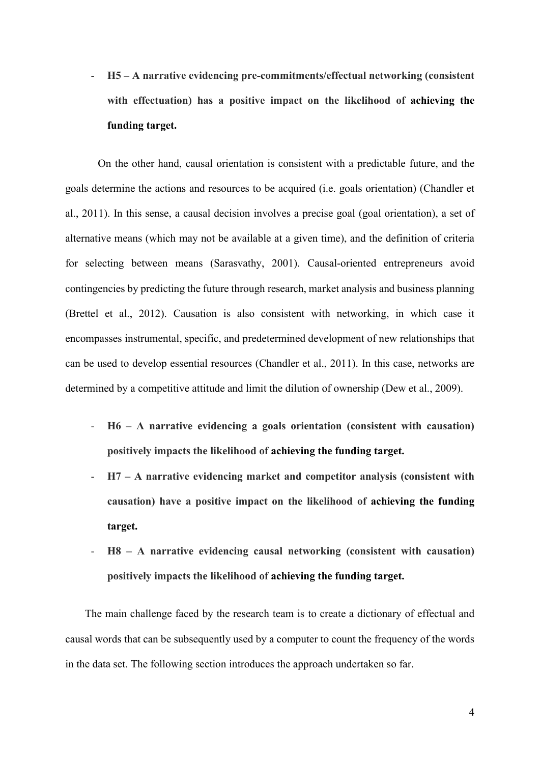- H5 – A narrative evidencing pre-commitments/effectual networking (consistent with effectuation) has a positive impact on the likelihood of achieving the funding target.

On the other hand, causal orientation is consistent with a predictable future, and the goals determine the actions and resources to be acquired (i.e. goals orientation) (Chandler et al., 2011). In this sense, a causal decision involves a precise goal (goal orientation), a set of alternative means (which may not be available at a given time), and the definition of criteria for selecting between means (Sarasvathy, 2001). Causal-oriented entrepreneurs avoid contingencies by predicting the future through research, market analysis and business planning (Brettel et al., 2012). Causation is also consistent with networking, in which case it encompasses instrumental, specific, and predetermined development of new relationships that can be used to develop essential resources (Chandler et al., 2011). In this case, networks are determined by a competitive attitude and limit the dilution of ownership (Dew et al., 2009).

- $H6 A$  narrative evidencing a goals orientation (consistent with causation) positively impacts the likelihood of achieving the funding target.
- H7 A narrative evidencing market and competitor analysis (consistent with causation) have a positive impact on the likelihood of achieving the funding target.
- $H8 A$  narrative evidencing causal networking (consistent with causation) positively impacts the likelihood of achieving the funding target.

The main challenge faced by the research team is to create a dictionary of effectual and causal words that can be subsequently used by a computer to count the frequency of the words in the data set. The following section introduces the approach undertaken so far.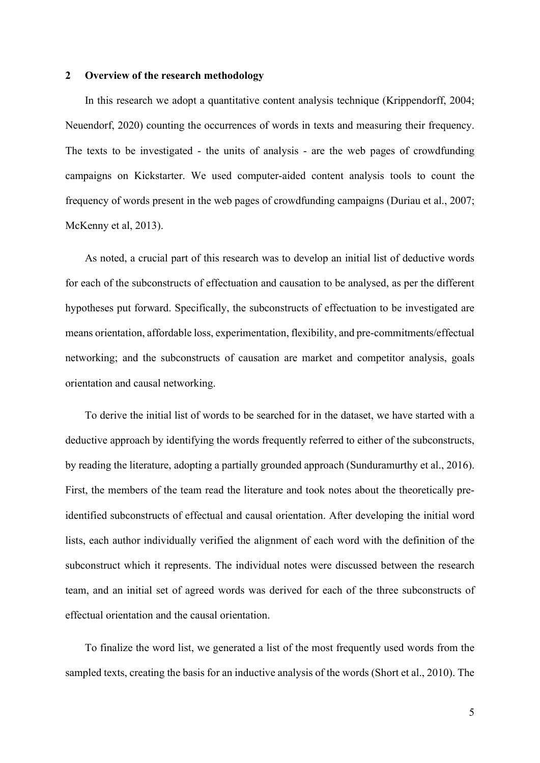#### 2 Overview of the research methodology

In this research we adopt a quantitative content analysis technique (Krippendorff, 2004; Neuendorf, 2020) counting the occurrences of words in texts and measuring their frequency. The texts to be investigated - the units of analysis - are the web pages of crowdfunding campaigns on Kickstarter. We used computer-aided content analysis tools to count the frequency of words present in the web pages of crowdfunding campaigns (Duriau et al., 2007; McKenny et al, 2013).

As noted, a crucial part of this research was to develop an initial list of deductive words for each of the subconstructs of effectuation and causation to be analysed, as per the different hypotheses put forward. Specifically, the subconstructs of effectuation to be investigated are means orientation, affordable loss, experimentation, flexibility, and pre-commitments/effectual networking; and the subconstructs of causation are market and competitor analysis, goals orientation and causal networking.

To derive the initial list of words to be searched for in the dataset, we have started with a deductive approach by identifying the words frequently referred to either of the subconstructs, by reading the literature, adopting a partially grounded approach (Sunduramurthy et al., 2016). First, the members of the team read the literature and took notes about the theoretically preidentified subconstructs of effectual and causal orientation. After developing the initial word lists, each author individually verified the alignment of each word with the definition of the subconstruct which it represents. The individual notes were discussed between the research team, and an initial set of agreed words was derived for each of the three subconstructs of effectual orientation and the causal orientation.

To finalize the word list, we generated a list of the most frequently used words from the sampled texts, creating the basis for an inductive analysis of the words (Short et al., 2010). The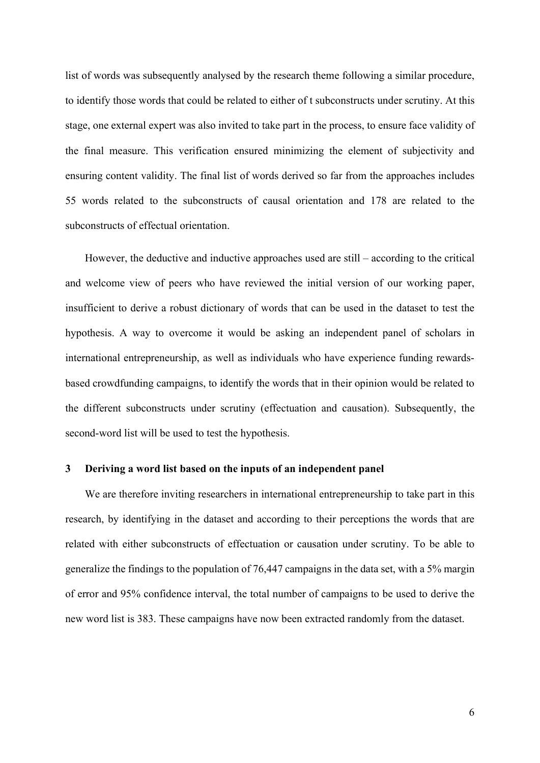list of words was subsequently analysed by the research theme following a similar procedure, to identify those words that could be related to either of t subconstructs under scrutiny. At this stage, one external expert was also invited to take part in the process, to ensure face validity of the final measure. This verification ensured minimizing the element of subjectivity and ensuring content validity. The final list of words derived so far from the approaches includes 55 words related to the subconstructs of causal orientation and 178 are related to the subconstructs of effectual orientation.

However, the deductive and inductive approaches used are still – according to the critical and welcome view of peers who have reviewed the initial version of our working paper, insufficient to derive a robust dictionary of words that can be used in the dataset to test the hypothesis. A way to overcome it would be asking an independent panel of scholars in international entrepreneurship, as well as individuals who have experience funding rewardsbased crowdfunding campaigns, to identify the words that in their opinion would be related to the different subconstructs under scrutiny (effectuation and causation). Subsequently, the second-word list will be used to test the hypothesis.

#### 3 Deriving a word list based on the inputs of an independent panel

We are therefore inviting researchers in international entrepreneurship to take part in this research, by identifying in the dataset and according to their perceptions the words that are related with either subconstructs of effectuation or causation under scrutiny. To be able to generalize the findings to the population of 76,447 campaigns in the data set, with a 5% margin of error and 95% confidence interval, the total number of campaigns to be used to derive the new word list is 383. These campaigns have now been extracted randomly from the dataset.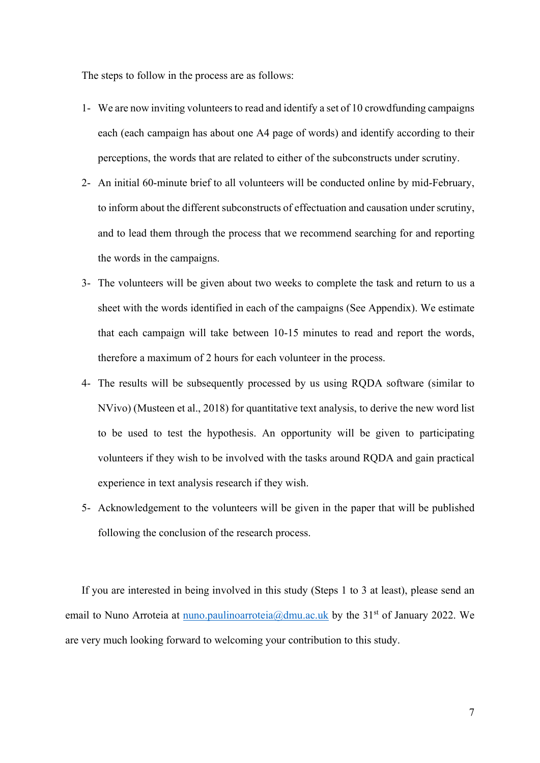The steps to follow in the process are as follows:

- 1- We are now inviting volunteers to read and identify a set of 10 crowdfunding campaigns each (each campaign has about one A4 page of words) and identify according to their perceptions, the words that are related to either of the subconstructs under scrutiny.
- 2- An initial 60-minute brief to all volunteers will be conducted online by mid-February, to inform about the different subconstructs of effectuation and causation under scrutiny, and to lead them through the process that we recommend searching for and reporting the words in the campaigns.
- 3- The volunteers will be given about two weeks to complete the task and return to us a sheet with the words identified in each of the campaigns (See Appendix). We estimate that each campaign will take between 10-15 minutes to read and report the words, therefore a maximum of 2 hours for each volunteer in the process.
- 4- The results will be subsequently processed by us using RQDA software (similar to NVivo) (Musteen et al., 2018) for quantitative text analysis, to derive the new word list to be used to test the hypothesis. An opportunity will be given to participating volunteers if they wish to be involved with the tasks around RQDA and gain practical experience in text analysis research if they wish.
- 5- Acknowledgement to the volunteers will be given in the paper that will be published following the conclusion of the research process.

If you are interested in being involved in this study (Steps 1 to 3 at least), please send an email to Nuno Arroteia at nuno.paulinoarroteia@dmu.ac.uk by the  $31<sup>st</sup>$  of January 2022. We are very much looking forward to welcoming your contribution to this study.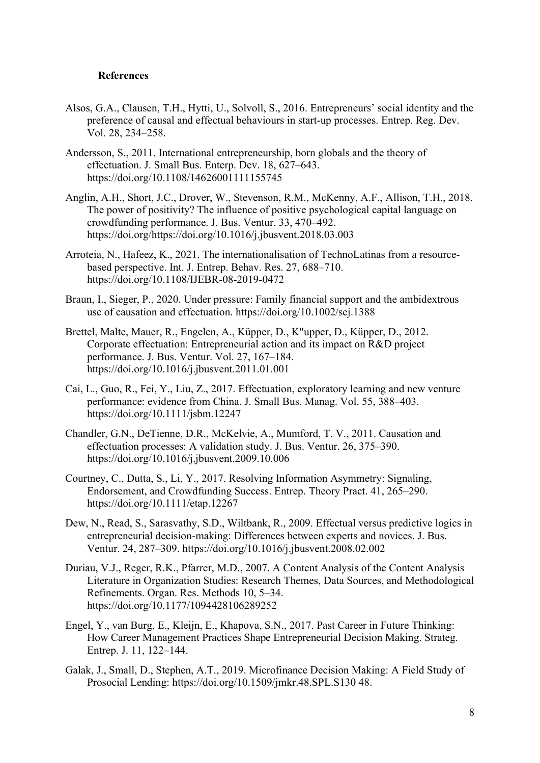### References

- Alsos, G.A., Clausen, T.H., Hytti, U., Solvoll, S., 2016. Entrepreneurs' social identity and the preference of causal and effectual behaviours in start-up processes. Entrep. Reg. Dev. Vol. 28, 234–258.
- Andersson, S., 2011. International entrepreneurship, born globals and the theory of effectuation. J. Small Bus. Enterp. Dev. 18, 627–643. https://doi.org/10.1108/14626001111155745
- Anglin, A.H., Short, J.C., Drover, W., Stevenson, R.M., McKenny, A.F., Allison, T.H., 2018. The power of positivity? The influence of positive psychological capital language on crowdfunding performance. J. Bus. Ventur. 33, 470–492. https://doi.org/https://doi.org/10.1016/j.jbusvent.2018.03.003
- Arroteia, N., Hafeez, K., 2021. The internationalisation of TechnoLatinas from a resourcebased perspective. Int. J. Entrep. Behav. Res. 27, 688–710. https://doi.org/10.1108/IJEBR-08-2019-0472
- Braun, I., Sieger, P., 2020. Under pressure: Family financial support and the ambidextrous use of causation and effectuation. https://doi.org/10.1002/sej.1388
- Brettel, Malte, Mauer, R., Engelen, A., Küpper, D., K"upper, D., Küpper, D., 2012. Corporate effectuation: Entrepreneurial action and its impact on R&D project performance. J. Bus. Ventur. Vol. 27, 167–184. https://doi.org/10.1016/j.jbusvent.2011.01.001
- Cai, L., Guo, R., Fei, Y., Liu, Z., 2017. Effectuation, exploratory learning and new venture performance: evidence from China. J. Small Bus. Manag. Vol. 55, 388–403. https://doi.org/10.1111/jsbm.12247
- Chandler, G.N., DeTienne, D.R., McKelvie, A., Mumford, T. V., 2011. Causation and effectuation processes: A validation study. J. Bus. Ventur. 26, 375–390. https://doi.org/10.1016/j.jbusvent.2009.10.006
- Courtney, C., Dutta, S., Li, Y., 2017. Resolving Information Asymmetry: Signaling, Endorsement, and Crowdfunding Success. Entrep. Theory Pract. 41, 265–290. https://doi.org/10.1111/etap.12267
- Dew, N., Read, S., Sarasvathy, S.D., Wiltbank, R., 2009. Effectual versus predictive logics in entrepreneurial decision-making: Differences between experts and novices. J. Bus. Ventur. 24, 287–309. https://doi.org/10.1016/j.jbusvent.2008.02.002
- Duriau, V.J., Reger, R.K., Pfarrer, M.D., 2007. A Content Analysis of the Content Analysis Literature in Organization Studies: Research Themes, Data Sources, and Methodological Refinements. Organ. Res. Methods 10, 5–34. https://doi.org/10.1177/1094428106289252
- Engel, Y., van Burg, E., Kleijn, E., Khapova, S.N., 2017. Past Career in Future Thinking: How Career Management Practices Shape Entrepreneurial Decision Making. Strateg. Entrep. J. 11, 122–144.
- Galak, J., Small, D., Stephen, A.T., 2019. Microfinance Decision Making: A Field Study of Prosocial Lending: https://doi.org/10.1509/jmkr.48.SPL.S130 48.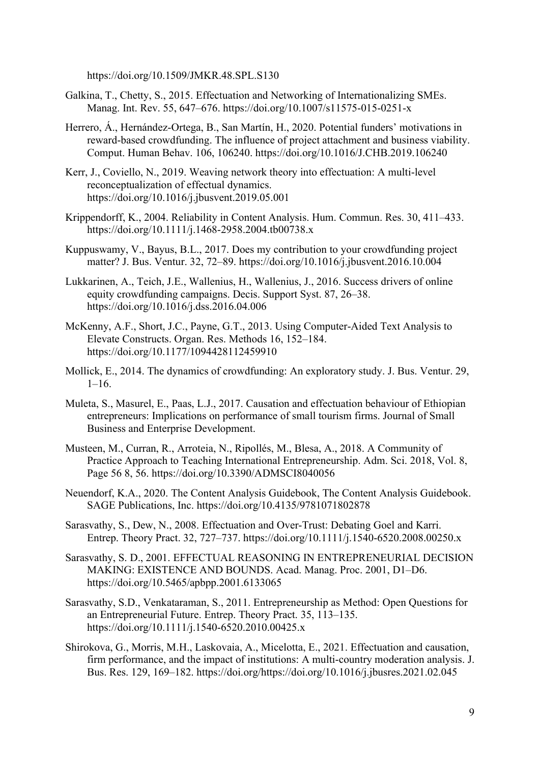https://doi.org/10.1509/JMKR.48.SPL.S130

- Galkina, T., Chetty, S., 2015. Effectuation and Networking of Internationalizing SMEs. Manag. Int. Rev. 55, 647–676. https://doi.org/10.1007/s11575-015-0251-x
- Herrero, Á., Hernández-Ortega, B., San Martín, H., 2020. Potential funders' motivations in reward-based crowdfunding. The influence of project attachment and business viability. Comput. Human Behav. 106, 106240. https://doi.org/10.1016/J.CHB.2019.106240
- Kerr, J., Coviello, N., 2019. Weaving network theory into effectuation: A multi-level reconceptualization of effectual dynamics. https://doi.org/10.1016/j.jbusvent.2019.05.001
- Krippendorff, K., 2004. Reliability in Content Analysis. Hum. Commun. Res. 30, 411–433. https://doi.org/10.1111/j.1468-2958.2004.tb00738.x
- Kuppuswamy, V., Bayus, B.L., 2017. Does my contribution to your crowdfunding project matter? J. Bus. Ventur. 32, 72–89. https://doi.org/10.1016/j.jbusvent.2016.10.004
- Lukkarinen, A., Teich, J.E., Wallenius, H., Wallenius, J., 2016. Success drivers of online equity crowdfunding campaigns. Decis. Support Syst. 87, 26–38. https://doi.org/10.1016/j.dss.2016.04.006
- McKenny, A.F., Short, J.C., Payne, G.T., 2013. Using Computer-Aided Text Analysis to Elevate Constructs. Organ. Res. Methods 16, 152–184. https://doi.org/10.1177/1094428112459910
- Mollick, E., 2014. The dynamics of crowdfunding: An exploratory study. J. Bus. Ventur. 29,  $1 - 16$ .
- Muleta, S., Masurel, E., Paas, L.J., 2017. Causation and effectuation behaviour of Ethiopian entrepreneurs: Implications on performance of small tourism firms. Journal of Small Business and Enterprise Development.
- Musteen, M., Curran, R., Arroteia, N., Ripollés, M., Blesa, A., 2018. A Community of Practice Approach to Teaching International Entrepreneurship. Adm. Sci. 2018, Vol. 8, Page 56 8, 56. https://doi.org/10.3390/ADMSCI8040056
- Neuendorf, K.A., 2020. The Content Analysis Guidebook, The Content Analysis Guidebook. SAGE Publications, Inc. https://doi.org/10.4135/9781071802878
- Sarasvathy, S., Dew, N., 2008. Effectuation and Over-Trust: Debating Goel and Karri. Entrep. Theory Pract. 32, 727–737. https://doi.org/10.1111/j.1540-6520.2008.00250.x
- Sarasvathy, S. D., 2001. EFFECTUAL REASONING IN ENTREPRENEURIAL DECISION MAKING: EXISTENCE AND BOUNDS. Acad. Manag. Proc. 2001, D1–D6. https://doi.org/10.5465/apbpp.2001.6133065
- Sarasvathy, S.D., Venkataraman, S., 2011. Entrepreneurship as Method: Open Questions for an Entrepreneurial Future. Entrep. Theory Pract. 35, 113–135. https://doi.org/10.1111/j.1540-6520.2010.00425.x
- Shirokova, G., Morris, M.H., Laskovaia, A., Micelotta, E., 2021. Effectuation and causation, firm performance, and the impact of institutions: A multi-country moderation analysis. J. Bus. Res. 129, 169–182. https://doi.org/https://doi.org/10.1016/j.jbusres.2021.02.045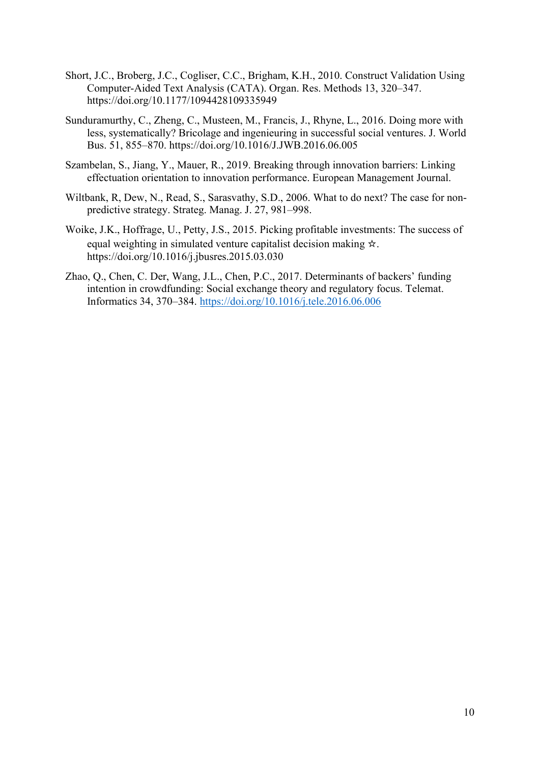- Short, J.C., Broberg, J.C., Cogliser, C.C., Brigham, K.H., 2010. Construct Validation Using Computer-Aided Text Analysis (CATA). Organ. Res. Methods 13, 320–347. https://doi.org/10.1177/1094428109335949
- Sunduramurthy, C., Zheng, C., Musteen, M., Francis, J., Rhyne, L., 2016. Doing more with less, systematically? Bricolage and ingenieuring in successful social ventures. J. World Bus. 51, 855–870. https://doi.org/10.1016/J.JWB.2016.06.005
- Szambelan, S., Jiang, Y., Mauer, R., 2019. Breaking through innovation barriers: Linking effectuation orientation to innovation performance. European Management Journal.
- Wiltbank, R, Dew, N., Read, S., Sarasvathy, S.D., 2006. What to do next? The case for nonpredictive strategy. Strateg. Manag. J. 27, 981–998.
- Woike, J.K., Hoffrage, U., Petty, J.S., 2015. Picking profitable investments: The success of equal weighting in simulated venture capitalist decision making ☆. https://doi.org/10.1016/j.jbusres.2015.03.030
- Zhao, Q., Chen, C. Der, Wang, J.L., Chen, P.C., 2017. Determinants of backers' funding intention in crowdfunding: Social exchange theory and regulatory focus. Telemat. Informatics 34, 370–384. https://doi.org/10.1016/j.tele.2016.06.006